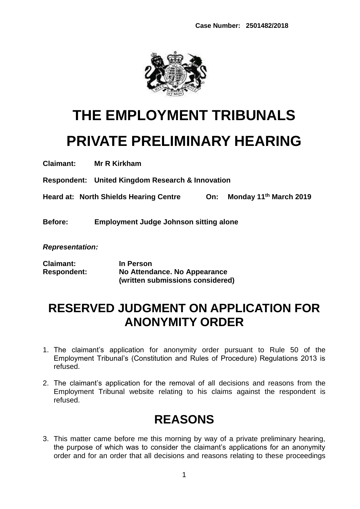

# **THE EMPLOYMENT TRIBUNALS PRIVATE PRELIMINARY HEARING**

**Claimant: Mr R Kirkham**

**Respondent: United Kingdom Research & Innovation**

**Heard at: North Shields Hearing Centre On: Monday 11th March 2019**

**Before: Employment Judge Johnson sitting alone**

*Representation:*

| <b>Claimant:</b>   | In Person                        |
|--------------------|----------------------------------|
| <b>Respondent:</b> | No Attendance. No Appearance     |
|                    | (written submissions considered) |

## **RESERVED JUDGMENT ON APPLICATION FOR ANONYMITY ORDER**

- 1. The claimant's application for anonymity order pursuant to Rule 50 of the Employment Tribunal's (Constitution and Rules of Procedure) Regulations 2013 is refused.
- 2. The claimant's application for the removal of all decisions and reasons from the Employment Tribunal website relating to his claims against the respondent is refused.

# **REASONS**

3. This matter came before me this morning by way of a private preliminary hearing, the purpose of which was to consider the claimant's applications for an anonymity order and for an order that all decisions and reasons relating to these proceedings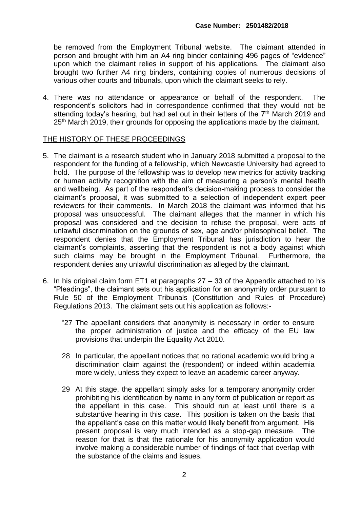be removed from the Employment Tribunal website. The claimant attended in person and brought with him an A4 ring binder containing 496 pages of "evidence" upon which the claimant relies in support of his applications. The claimant also brought two further A4 ring binders, containing copies of numerous decisions of various other courts and tribunals, upon which the claimant seeks to rely.

4. There was no attendance or appearance or behalf of the respondent. The respondent's solicitors had in correspondence confirmed that they would not be attending today's hearing, but had set out in their letters of the  $7<sup>th</sup>$  March 2019 and 25<sup>th</sup> March 2019, their grounds for opposing the applications made by the claimant.

#### THE HISTORY OF THESE PROCEEDINGS

- 5. The claimant is a research student who in January 2018 submitted a proposal to the respondent for the funding of a fellowship, which Newcastle University had agreed to hold. The purpose of the fellowship was to develop new metrics for activity tracking or human activity recognition with the aim of measuring a person's mental health and wellbeing. As part of the respondent's decision-making process to consider the claimant's proposal, it was submitted to a selection of independent expert peer reviewers for their comments. In March 2018 the claimant was informed that his proposal was unsuccessful. The claimant alleges that the manner in which his proposal was considered and the decision to refuse the proposal, were acts of unlawful discrimination on the grounds of sex, age and/or philosophical belief. The respondent denies that the Employment Tribunal has jurisdiction to hear the claimant's complaints, asserting that the respondent is not a body against which such claims may be brought in the Employment Tribunal. Furthermore, the respondent denies any unlawful discrimination as alleged by the claimant.
- 6. In his original claim form ET1 at paragraphs  $27 33$  of the Appendix attached to his "Pleadings", the claimant sets out his application for an anonymity order pursuant to Rule 50 of the Employment Tribunals (Constitution and Rules of Procedure) Regulations 2013. The claimant sets out his application as follows:-
	- "27 The appellant considers that anonymity is necessary in order to ensure the proper administration of justice and the efficacy of the EU law provisions that underpin the Equality Act 2010.
	- 28 In particular, the appellant notices that no rational academic would bring a discrimination claim against the (respondent) or indeed within academia more widely, unless they expect to leave an academic career anyway.
	- 29 At this stage, the appellant simply asks for a temporary anonymity order prohibiting his identification by name in any form of publication or report as the appellant in this case. This should run at least until there is a substantive hearing in this case. This position is taken on the basis that the appellant's case on this matter would likely benefit from argument. His present proposal is very much intended as a stop-gap measure. The reason for that is that the rationale for his anonymity application would involve making a considerable number of findings of fact that overlap with the substance of the claims and issues.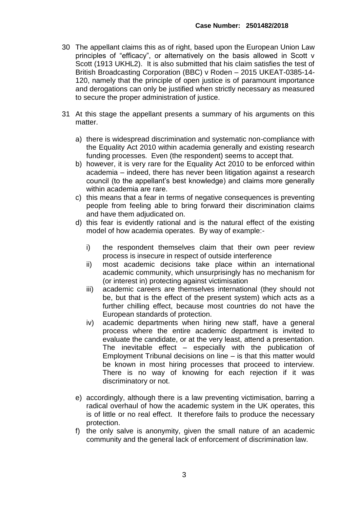- 30 The appellant claims this as of right, based upon the European Union Law principles of "efficacy", or alternatively on the basis allowed in Scott v Scott (1913 UKHL2). It is also submitted that his claim satisfies the test of British Broadcasting Corporation (BBC) v Roden – 2015 UKEAT-0385-14- 120, namely that the principle of open justice is of paramount importance and derogations can only be justified when strictly necessary as measured to secure the proper administration of justice.
- 31 At this stage the appellant presents a summary of his arguments on this matter.
	- a) there is widespread discrimination and systematic non-compliance with the Equality Act 2010 within academia generally and existing research funding processes. Even (the respondent) seems to accept that.
	- b) however, it is very rare for the Equality Act 2010 to be enforced within academia – indeed, there has never been litigation against a research council (to the appellant's best knowledge) and claims more generally within academia are rare.
	- c) this means that a fear in terms of negative consequences is preventing people from feeling able to bring forward their discrimination claims and have them adjudicated on.
	- d) this fear is evidently rational and is the natural effect of the existing model of how academia operates. By way of example:
		- i) the respondent themselves claim that their own peer review process is insecure in respect of outside interference
		- ii) most academic decisions take place within an international academic community, which unsurprisingly has no mechanism for (or interest in) protecting against victimisation
		- iii) academic careers are themselves international (they should not be, but that is the effect of the present system) which acts as a further chilling effect, because most countries do not have the European standards of protection.
		- iv) academic departments when hiring new staff, have a general process where the entire academic department is invited to evaluate the candidate, or at the very least, attend a presentation. The inevitable effect – especially with the publication of Employment Tribunal decisions on line – is that this matter would be known in most hiring processes that proceed to interview. There is no way of knowing for each rejection if it was discriminatory or not.
	- e) accordingly, although there is a law preventing victimisation, barring a radical overhaul of how the academic system in the UK operates, this is of little or no real effect. It therefore fails to produce the necessary protection.
	- f) the only salve is anonymity, given the small nature of an academic community and the general lack of enforcement of discrimination law.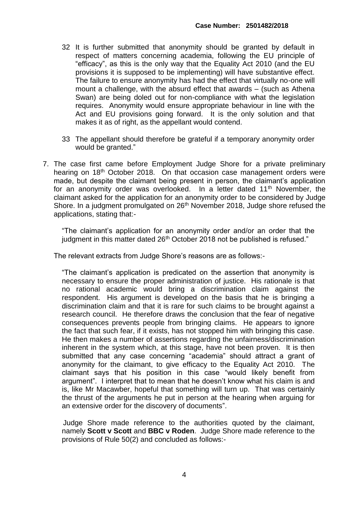- 32 It is further submitted that anonymity should be granted by default in respect of matters concerning academia, following the EU principle of "efficacy", as this is the only way that the Equality Act 2010 (and the EU provisions it is supposed to be implementing) will have substantive effect. The failure to ensure anonymity has had the effect that virtually no-one will mount a challenge, with the absurd effect that awards – (such as Athena Swan) are being doled out for non-compliance with what the legislation requires. Anonymity would ensure appropriate behaviour in line with the Act and EU provisions going forward. It is the only solution and that makes it as of right, as the appellant would contend.
- 33 The appellant should therefore be grateful if a temporary anonymity order would be granted."
- 7. The case first came before Employment Judge Shore for a private preliminary hearing on 18<sup>th</sup> October 2018. On that occasion case management orders were made, but despite the claimant being present in person, the claimant's application for an anonymity order was overlooked. In a letter dated 11<sup>th</sup> November, the claimant asked for the application for an anonymity order to be considered by Judge Shore. In a judgment promulgated on 26<sup>th</sup> November 2018, Judge shore refused the applications, stating that:-

"The claimant's application for an anonymity order and/or an order that the judgment in this matter dated 26<sup>th</sup> October 2018 not be published is refused."

The relevant extracts from Judge Shore's reasons are as follows:-

"The claimant's application is predicated on the assertion that anonymity is necessary to ensure the proper administration of justice. His rationale is that no rational academic would bring a discrimination claim against the respondent. His argument is developed on the basis that he is bringing a discrimination claim and that it is rare for such claims to be brought against a research council. He therefore draws the conclusion that the fear of negative consequences prevents people from bringing claims. He appears to ignore the fact that such fear, if it exists, has not stopped him with bringing this case. He then makes a number of assertions regarding the unfairness/discrimination inherent in the system which, at this stage, have not been proven. It is then submitted that any case concerning "academia" should attract a grant of anonymity for the claimant, to give efficacy to the Equality Act 2010. The claimant says that his position in this case "would likely benefit from argument". I interpret that to mean that he doesn't know what his claim is and is, like Mr Macawber, hopeful that something will turn up. That was certainly the thrust of the arguments he put in person at the hearing when arguing for an extensive order for the discovery of documents".

 Judge Shore made reference to the authorities quoted by the claimant, namely **Scott v Scott** and **BBC v Roden**. Judge Shore made reference to the provisions of Rule 50(2) and concluded as follows:-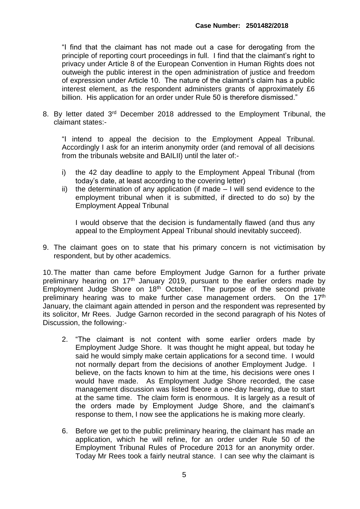"I find that the claimant has not made out a case for derogating from the principle of reporting court proceedings in full. I find that the claimant's right to privacy under Article 8 of the European Convention in Human Rights does not outweigh the public interest in the open administration of justice and freedom of expression under Article 10. The nature of the claimant's claim has a public interest element, as the respondent administers grants of approximately £6 billion. His application for an order under Rule 50 is therefore dismissed."

8. By letter dated 3<sup>rd</sup> December 2018 addressed to the Employment Tribunal, the claimant states:-

"I intend to appeal the decision to the Employment Appeal Tribunal. Accordingly I ask for an interim anonymity order (and removal of all decisions from the tribunals website and BAILII) until the later of:-

- i) the 42 day deadline to apply to the Employment Appeal Tribunal (from today's date, at least according to the covering letter)
- ii) the determination of any application (if made I will send evidence to the employment tribunal when it is submitted, if directed to do so) by the Employment Appeal Tribunal

I would observe that the decision is fundamentally flawed (and thus any appeal to the Employment Appeal Tribunal should inevitably succeed).

9. The claimant goes on to state that his primary concern is not victimisation by respondent, but by other academics.

10.The matter than came before Employment Judge Garnon for a further private preliminary hearing on 17<sup>th</sup> January 2019, pursuant to the earlier orders made by Employment Judge Shore on 18<sup>th</sup> October. The purpose of the second private preliminary hearing was to make further case management orders. On the 17<sup>th</sup> January, the claimant again attended in person and the respondent was represented by its solicitor, Mr Rees. Judge Garnon recorded in the second paragraph of his Notes of Discussion, the following:-

- 2. "The claimant is not content with some earlier orders made by Employment Judge Shore. It was thought he might appeal, but today he said he would simply make certain applications for a second time. I would not normally depart from the decisions of another Employment Judge. I believe, on the facts known to him at the time, his decisions were ones I would have made. As Employment Judge Shore recorded, the case management discussion was listed fbeore a one-day hearing, due to start at the same time. The claim form is enormous. It is largely as a result of the orders made by Employment Judge Shore, and the claimant's response to them, I now see the applications he is making more clearly.
- 6. Before we get to the public preliminary hearing, the claimant has made an application, which he will refine, for an order under Rule 50 of the Employment Tribunal Rules of Procedure 2013 for an anonymity order. Today Mr Rees took a fairly neutral stance. I can see why the claimant is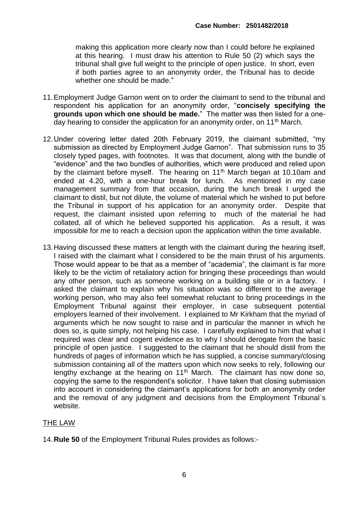making this application more clearly now than I could before he explained at this hearing. I must draw his attention to Rule 50 (2) which says the tribunal shall give full weight to the principle of open justice. In short, even if both parties agree to an anonymity order, the Tribunal has to decide whether one should be made."

- 11.Employment Judge Garnon went on to order the claimant to send to the tribunal and respondent his application for an anonymity order, "**concisely specifying the grounds upon which one should be made.**" The matter was then listed for a oneday hearing to consider the application for an anonymity order, on 11<sup>th</sup> March.
- 12.Under covering letter dated 20th February 2019, the claimant submitted, "my submission as directed by Employment Judge Garnon". That submission runs to 35 closely typed pages, with footnotes. It was that document, along with the bundle of "evidence" and the two bundles of authorities, which were produced and relied upon by the claimant before myself. The hearing on 11<sup>th</sup> March began at 10.10am and ended at 4.20, with a one-hour break for lunch. As mentioned in my case management summary from that occasion, during the lunch break I urged the claimant to distil, but not dilute, the volume of material which he wished to put before the Tribunal in support of his application for an anonymity order. Despite that request, the claimant insisted upon referring to much of the material he had collated, all of which he believed supported his application. As a result, it was impossible for me to reach a decision upon the application within the time available.
- 13.Having discussed these matters at length with the claimant during the hearing itself, I raised with the claimant what I considered to be the main thrust of his arguments. Those would appear to be that as a member of "academia", the claimant is far more likely to be the victim of retaliatory action for bringing these proceedings than would any other person, such as someone working on a building site or in a factory. I asked the claimant to explain why his situation was so different to the average working person, who may also feel somewhat reluctant to bring proceedings in the Employment Tribunal against their employer, in case subsequent potential employers learned of their involvement. I explained to Mr Kirkham that the myriad of arguments which he now sought to raise and in particular the manner in which he does so, is quite simply, not helping his case. I carefully explained to him that what I required was clear and cogent evidence as to why I should derogate from the basic principle of open justice. I suggested to the claimant that he should distil from the hundreds of pages of information which he has supplied, a concise summary/closing submission containing all of the matters upon which now seeks to rely, following our lengthy exchange at the hearing on  $11<sup>th</sup>$  March. The claimant has now done so, copying the same to the respondent's solicitor. I have taken that closing submission into account in considering the claimant's applications for both an anonymity order and the removal of any judgment and decisions from the Employment Tribunal`s website.

### THE LAW

14.**Rule 50** of the Employment Tribunal Rules provides as follows:-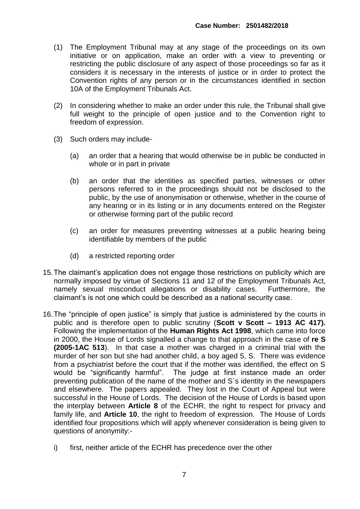- (1) The Employment Tribunal may at any stage of the proceedings on its own initiative or on application, make an order with a view to preventing or restricting the public disclosure of any aspect of those proceedings so far as it considers it is necessary in the interests of justice or in order to protect the Convention rights of any person or in the circumstances identified in section 10A of the Employment Tribunals Act.
- (2) In considering whether to make an order under this rule, the Tribunal shall give full weight to the principle of open justice and to the Convention right to freedom of expression.
- (3) Such orders may include-
	- (a) an order that a hearing that would otherwise be in public be conducted in whole or in part in private
	- (b) an order that the identities as specified parties, witnesses or other persons referred to in the proceedings should not be disclosed to the public, by the use of anonymisation or otherwise, whether in the course of any hearing or in its listing or in any documents entered on the Register or otherwise forming part of the public record
	- (c) an order for measures preventing witnesses at a public hearing being identifiable by members of the public
	- (d) a restricted reporting order
- 15.The claimant's application does not engage those restrictions on publicity which are normally imposed by virtue of Sections 11 and 12 of the Employment Tribunals Act, namely sexual misconduct allegations or disability cases. Furthermore, the claimant's is not one which could be described as a national security case.
- 16.The "principle of open justice" is simply that justice is administered by the courts in public and is therefore open to public scrutiny (**Scott v Scott – 1913 AC 417).** Following the implementation of the **Human Rights Act 1998**, which came into force in 2000, the House of Lords signalled a change to that approach in the case of **re S (2005-1AC 513**). In that case a mother was charged in a criminal trial with the murder of her son but she had another child, a boy aged 5, S. There was evidence from a psychiatrist before the court that if the mother was identified, the effect on S would be "significantly harmful". The judge at first instance made an order preventing publication of the name of the mother and S`s identity in the newspapers and elsewhere. The papers appealed. They lost in the Court of Appeal but were successful in the House of Lords. The decision of the House of Lords is based upon the interplay between **Article 8** of the ECHR, the right to respect for privacy and family life, and **Article 10**, the right to freedom of expression. The House of Lords identified four propositions which will apply whenever consideration is being given to questions of anonymity:
	- i) first, neither article of the ECHR has precedence over the other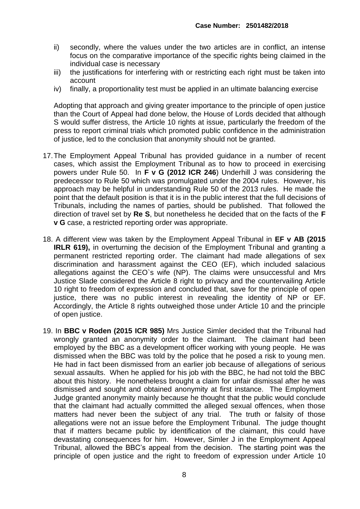- ii) secondly, where the values under the two articles are in conflict, an intense focus on the comparative importance of the specific rights being claimed in the individual case is necessary
- iii) the justifications for interfering with or restricting each right must be taken into account
- iv) finally, a proportionality test must be applied in an ultimate balancing exercise

Adopting that approach and giving greater importance to the principle of open justice than the Court of Appeal had done below, the House of Lords decided that although S would suffer distress, the Article 10 rights at issue, particularly the freedom of the press to report criminal trials which promoted public confidence in the administration of justice, led to the conclusion that anonymity should not be granted.

- 17.The Employment Appeal Tribunal has provided guidance in a number of recent cases, which assist the Employment Tribunal as to how to proceed in exercising powers under Rule 50. In **F v G (2012 ICR 246**) Underhill J was considering the predecessor to Rule 50 which was promulgated under the 2004 rules. However, his approach may be helpful in understanding Rule 50 of the 2013 rules. He made the point that the default position is that it is in the public interest that the full decisions of Tribunals, including the names of parties, should be published. That followed the direction of travel set by **Re S**, but nonetheless he decided that on the facts of the **F v G** case, a restricted reporting order was appropriate.
- 18. A different view was taken by the Employment Appeal Tribunal in **EF v AB (2015 IRLR 619),** in overturning the decision of the Employment Tribunal and granting a permanent restricted reporting order. The claimant had made allegations of sex discrimination and harassment against the CEO (EF), which included salacious allegations against the CEO`s wife (NP). The claims were unsuccessful and Mrs Justice Slade considered the Article 8 right to privacy and the countervailing Article 10 right to freedom of expression and concluded that, save for the principle of open justice, there was no public interest in revealing the identity of NP or EF. Accordingly, the Article 8 rights outweighed those under Article 10 and the principle of open justice.
- 19. In **BBC v Roden (2015 ICR 985)** Mrs Justice Simler decided that the Tribunal had wrongly granted an anonymity order to the claimant. The claimant had been employed by the BBC as a development officer working with young people. He was dismissed when the BBC was told by the police that he posed a risk to young men. He had in fact been dismissed from an earlier job because of allegations of serious sexual assaults. When he applied for his job with the BBC, he had not told the BBC about this history. He nonetheless brought a claim for unfair dismissal after he was dismissed and sought and obtained anonymity at first instance. The Employment Judge granted anonymity mainly because he thought that the public would conclude that the claimant had actually committed the alleged sexual offences, when those matters had never been the subject of any trial. The truth or falsity of those allegations were not an issue before the Employment Tribunal. The judge thought that if matters became public by identification of the claimant, this could have devastating consequences for him. However, Simler J in the Employment Appeal Tribunal, allowed the BBC's appeal from the decision. The starting point was the principle of open justice and the right to freedom of expression under Article 10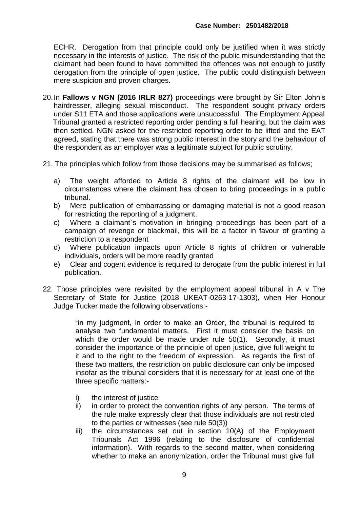ECHR. Derogation from that principle could only be justified when it was strictly necessary in the interests of justice. The risk of the public misunderstanding that the claimant had been found to have committed the offences was not enough to justify derogation from the principle of open justice. The public could distinguish between mere suspicion and proven charges.

- 20.In **Fallows v NGN (2016 IRLR 827)** proceedings were brought by Sir Elton John's hairdresser, alleging sexual misconduct. The respondent sought privacy orders under S11 ETA and those applications were unsuccessful. The Employment Appeal Tribunal granted a restricted reporting order pending a full hearing, but the claim was then settled. NGN asked for the restricted reporting order to be lifted and the EAT agreed, stating that there was strong public interest in the story and the behaviour of the respondent as an employer was a legitimate subject for public scrutiny.
- 21. The principles which follow from those decisions may be summarised as follows;
	- a) The weight afforded to Article 8 rights of the claimant will be low in circumstances where the claimant has chosen to bring proceedings in a public tribunal.
	- b) Mere publication of embarrassing or damaging material is not a good reason for restricting the reporting of a judgment.
	- c) Where a claimant`s motivation in bringing proceedings has been part of a campaign of revenge or blackmail, this will be a factor in favour of granting a restriction to a respondent
	- d) Where publication impacts upon Article 8 rights of children or vulnerable individuals, orders will be more readily granted
	- e) Clear and cogent evidence is required to derogate from the public interest in full publication.
- 22. Those principles were revisited by the employment appeal tribunal in A v The Secretary of State for Justice (2018 UKEAT-0263-17-1303), when Her Honour Judge Tucker made the following observations:-

"in my judgment, in order to make an Order, the tribunal is required to analyse two fundamental matters. First it must consider the basis on which the order would be made under rule 50(1). Secondly, it must consider the importance of the principle of open justice, give full weight to it and to the right to the freedom of expression. As regards the first of these two matters, the restriction on public disclosure can only be imposed insofar as the tribunal considers that it is necessary for at least one of the three specific matters:-

- i) the interest of justice
- ii) in order to protect the convention rights of any person. The terms of the rule make expressly clear that those individuals are not restricted to the parties or witnesses (see rule 50(3))
- iii) the circumstances set out in section 10(A) of the Employment Tribunals Act 1996 (relating to the disclosure of confidential information). With regards to the second matter, when considering whether to make an anonymization, order the Tribunal must give full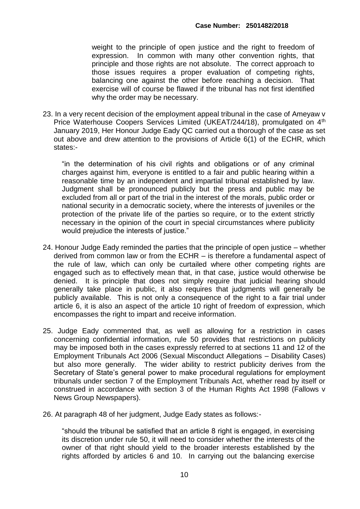weight to the principle of open justice and the right to freedom of expression. In common with many other convention rights, that principle and those rights are not absolute. The correct approach to those issues requires a proper evaluation of competing rights, balancing one against the other before reaching a decision. That exercise will of course be flawed if the tribunal has not first identified why the order may be necessary.

23. In a very recent decision of the employment appeal tribunal in the case of Ameyaw v Price Waterhouse Coopers Services Limited (UKEAT/244/18), promulgated on 4<sup>th</sup> January 2019, Her Honour Judge Eady QC carried out a thorough of the case as set out above and drew attention to the provisions of Article 6(1) of the ECHR, which states:-

"in the determination of his civil rights and obligations or of any criminal charges against him, everyone is entitled to a fair and public hearing within a reasonable time by an independent and impartial tribunal established by law. Judgment shall be pronounced publicly but the press and public may be excluded from all or part of the trial in the interest of the morals, public order or national security in a democratic society, where the interests of juveniles or the protection of the private life of the parties so require, or to the extent strictly necessary in the opinion of the court in special circumstances where publicity would prejudice the interests of justice."

- 24. Honour Judge Eady reminded the parties that the principle of open justice whether derived from common law or from the ECHR – is therefore a fundamental aspect of the rule of law, which can only be curtailed where other competing rights are engaged such as to effectively mean that, in that case, justice would otherwise be denied. It is principle that does not simply require that judicial hearing should generally take place in public, it also requires that judgments will generally be publicly available. This is not only a consequence of the right to a fair trial under article 6, it is also an aspect of the article 10 right of freedom of expression, which encompasses the right to impart and receive information.
- 25. Judge Eady commented that, as well as allowing for a restriction in cases concerning confidential information, rule 50 provides that restrictions on publicity may be imposed both in the cases expressly referred to at sections 11 and 12 of the Employment Tribunals Act 2006 (Sexual Misconduct Allegations – Disability Cases) but also more generally. The wider ability to restrict publicity derives from the Secretary of State's general power to make procedural regulations for employment tribunals under section 7 of the Employment Tribunals Act, whether read by itself or construed in accordance with section 3 of the Human Rights Act 1998 (Fallows v News Group Newspapers).
- 26. At paragraph 48 of her judgment, Judge Eady states as follows:-

"should the tribunal be satisfied that an article 8 right is engaged, in exercising its discretion under rule 50, it will need to consider whether the interests of the owner of that right should yield to the broader interests established by the rights afforded by articles 6 and 10. In carrying out the balancing exercise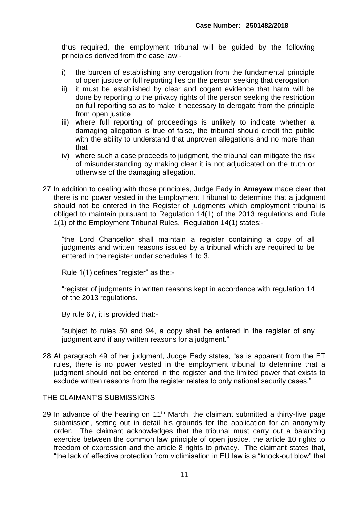thus required, the employment tribunal will be guided by the following principles derived from the case law:-

- i) the burden of establishing any derogation from the fundamental principle of open justice or full reporting lies on the person seeking that derogation
- ii) it must be established by clear and cogent evidence that harm will be done by reporting to the privacy rights of the person seeking the restriction on full reporting so as to make it necessary to derogate from the principle from open justice
- iii) where full reporting of proceedings is unlikely to indicate whether a damaging allegation is true of false, the tribunal should credit the public with the ability to understand that unproven allegations and no more than that
- iv) where such a case proceeds to judgment, the tribunal can mitigate the risk of misunderstanding by making clear it is not adjudicated on the truth or otherwise of the damaging allegation.
- 27 In addition to dealing with those principles, Judge Eady in **Ameyaw** made clear that there is no power vested in the Employment Tribunal to determine that a judgment should not be entered in the Register of judgments which employment tribunal is obliged to maintain pursuant to Regulation 14(1) of the 2013 regulations and Rule 1(1) of the Employment Tribunal Rules. Regulation 14(1) states:-

"the Lord Chancellor shall maintain a register containing a copy of all judgments and written reasons issued by a tribunal which are required to be entered in the register under schedules 1 to 3.

Rule 1(1) defines "register" as the:-

"register of judgments in written reasons kept in accordance with regulation 14 of the 2013 regulations.

By rule 67, it is provided that:-

"subject to rules 50 and 94, a copy shall be entered in the register of any judgment and if any written reasons for a judgment."

28 At paragraph 49 of her judgment, Judge Eady states, "as is apparent from the ET rules, there is no power vested in the employment tribunal to determine that a judgment should not be entered in the register and the limited power that exists to exclude written reasons from the register relates to only national security cases."

### THE CLAIMANT'S SUBMISSIONS

29 In advance of the hearing on  $11<sup>th</sup>$  March, the claimant submitted a thirty-five page submission, setting out in detail his grounds for the application for an anonymity order. The claimant acknowledges that the tribunal must carry out a balancing exercise between the common law principle of open justice, the article 10 rights to freedom of expression and the article 8 rights to privacy. The claimant states that, "the lack of effective protection from victimisation in EU law is a "knock-out blow" that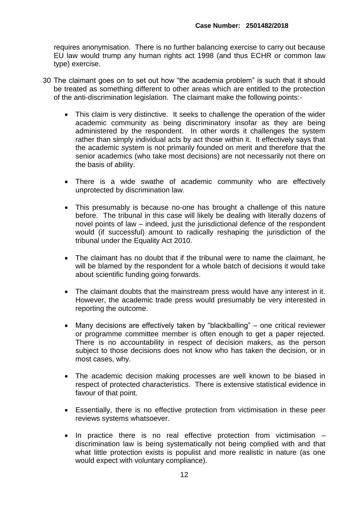requires anonymisation. There is no further balancing exercise to carry out because EU law would trump any human rights act 1998 (and thus ECHR or common law type) exercise.

- 30 The claimant goes on to set out how "the academia problem" is such that it should be treated as something different to other areas which are entitled to the protection of the anti-discrimination legislation. The claimant make the following points:-
	- This claim is very distinctive. It seeks to challenge the operation of the wider academic community as being discriminatory insofar as they are being administered by the respondent. In other words it challenges the system rather than simply individual acts by act those within it. It effectively says that the academic system is not primarily founded on merit and therefore that the senior academics (who take most decisions) are not necessarily not there on the basis of ability.
	- There is a wide swathe of academic community who are effectively unprotected by discrimination law.
	- This presumably is because no-one has brought a challenge of this nature before. The tribunal in this case will likely be dealing with literally dozens of novel points of law – indeed, just the jurisdictional defence of the respondent would (if successful) amount to radically reshaping the jurisdiction of the tribunal under the Equality Act 2010.
	- The claimant has no doubt that if the tribunal were to name the claimant, he will be blamed by the respondent for a whole batch of decisions it would take about scientific funding going forwards.
	- The claimant doubts that the mainstream press would have any interest in it. However, the academic trade press would presumably be very interested in reporting the outcome.
	- Many decisions are effectively taken by "blackballing" one critical reviewer or programme committee member is often enough to get a paper rejected. There is no accountability in respect of decision makers, as the person subject to those decisions does not know who has taken the decision, or in most cases, why.
	- The academic decision making processes are well known to be biased in respect of protected characteristics. There is extensive statistical evidence in favour of that point.
	- Essentially, there is no effective protection from victimisation in these peer reviews systems whatsoever.
	- In practice there is no real effective protection from victimisation discrimination law is being systematically not being complied with and that what little protection exists is populist and more realistic in nature (as one would expect with voluntary compliance).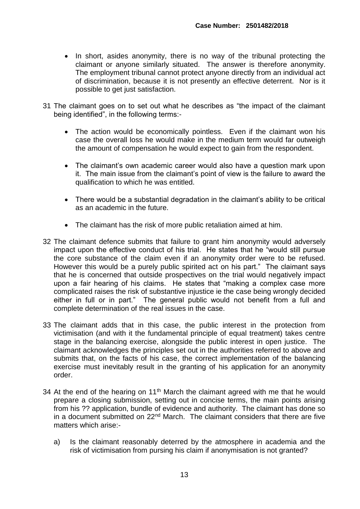- In short, asides anonymity, there is no way of the tribunal protecting the claimant or anyone similarly situated. The answer is therefore anonymity. The employment tribunal cannot protect anyone directly from an individual act of discrimination, because it is not presently an effective deterrent. Nor is it possible to get just satisfaction.
- 31 The claimant goes on to set out what he describes as "the impact of the claimant being identified", in the following terms:-
	- The action would be economically pointless. Even if the claimant won his case the overall loss he would make in the medium term would far outweigh the amount of compensation he would expect to gain from the respondent.
	- The claimant's own academic career would also have a question mark upon it. The main issue from the claimant's point of view is the failure to award the qualification to which he was entitled.
	- There would be a substantial degradation in the claimant's ability to be critical as an academic in the future.
	- The claimant has the risk of more public retaliation aimed at him.
- 32 The claimant defence submits that failure to grant him anonymity would adversely impact upon the effective conduct of his trial. He states that he "would still pursue the core substance of the claim even if an anonymity order were to be refused. However this would be a purely public spirited act on his part." The claimant says that he is concerned that outside prospectives on the trial would negatively impact upon a fair hearing of his claims. He states that "making a complex case more complicated raises the risk of substantive injustice ie the case being wrongly decided either in full or in part." The general public would not benefit from a full and complete determination of the real issues in the case.
- 33 The claimant adds that in this case, the public interest in the protection from victimisation (and with it the fundamental principle of equal treatment) takes centre stage in the balancing exercise, alongside the public interest in open justice. The claimant acknowledges the principles set out in the authorities referred to above and submits that, on the facts of his case, the correct implementation of the balancing exercise must inevitably result in the granting of his application for an anonymity order.
- 34 At the end of the hearing on 11<sup>th</sup> March the claimant agreed with me that he would prepare a closing submission, setting out in concise terms, the main points arising from his ?? application, bundle of evidence and authority. The claimant has done so in a document submitted on 22<sup>nd</sup> March. The claimant considers that there are five matters which arise:
	- a) Is the claimant reasonably deterred by the atmosphere in academia and the risk of victimisation from pursing his claim if anonymisation is not granted?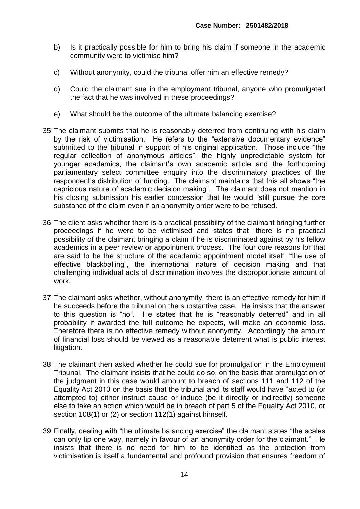- b) Is it practically possible for him to bring his claim if someone in the academic community were to victimise him?
- c) Without anonymity, could the tribunal offer him an effective remedy?
- d) Could the claimant sue in the employment tribunal, anyone who promulgated the fact that he was involved in these proceedings?
- e) What should be the outcome of the ultimate balancing exercise?
- 35 The claimant submits that he is reasonably deterred from continuing with his claim by the risk of victimisation. He refers to the "extensive documentary evidence" submitted to the tribunal in support of his original application. Those include "the regular collection of anonymous articles", the highly unpredictable system for younger academics, the claimant's own academic article and the forthcoming parliamentary select committee enquiry into the discriminatory practices of the respondent's distribution of funding. The claimant maintains that this all shows "the capricious nature of academic decision making". The claimant does not mention in his closing submission his earlier concession that he would "still pursue the core substance of the claim even if an anonymity order were to be refused.
- 36 The client asks whether there is a practical possibility of the claimant bringing further proceedings if he were to be victimised and states that "there is no practical possibility of the claimant bringing a claim if he is discriminated against by his fellow academics in a peer review or appointment process. The four core reasons for that are said to be the structure of the academic appointment model itself, "the use of effective blackballing", the international nature of decision making and that challenging individual acts of discrimination involves the disproportionate amount of work.
- 37 The claimant asks whether, without anonymity, there is an effective remedy for him if he succeeds before the tribunal on the substantive case. He insists that the answer to this question is "no". He states that he is "reasonably deterred" and in all probability if awarded the full outcome he expects, will make an economic loss. Therefore there is no effective remedy without anonymity. Accordingly the amount of financial loss should be viewed as a reasonable deterrent what is public interest litigation.
- 38 The claimant then asked whether he could sue for promulgation in the Employment Tribunal. The claimant insists that he could do so, on the basis that promulgation of the judgment in this case would amount to breach of sections 111 and 112 of the Equality Act 2010 on the basis that the tribunal and its staff would have "acted to (or attempted to) either instruct cause or induce (be it directly or indirectly) someone else to take an action which would be in breach of part 5 of the Equality Act 2010, or section 108(1) or (2) or section 112(1) against himself.
- 39 Finally, dealing with "the ultimate balancing exercise" the claimant states "the scales can only tip one way, namely in favour of an anonymity order for the claimant." He insists that there is no need for him to be identified as the protection from victimisation is itself a fundamental and profound provision that ensures freedom of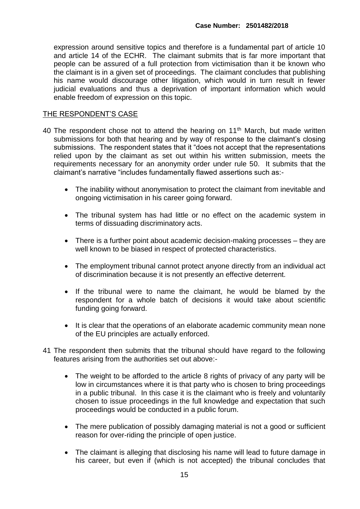expression around sensitive topics and therefore is a fundamental part of article 10 and article 14 of the ECHR. The claimant submits that is far more important that people can be assured of a full protection from victimisation than it be known who the claimant is in a given set of proceedings. The claimant concludes that publishing his name would discourage other litigation, which would in turn result in fewer judicial evaluations and thus a deprivation of important information which would enable freedom of expression on this topic.

#### THE RESPONDENT'S CASE

- 40 The respondent chose not to attend the hearing on 11<sup>th</sup> March, but made written submissions for both that hearing and by way of response to the claimant's closing submissions. The respondent states that it "does not accept that the representations relied upon by the claimant as set out within his written submission, meets the requirements necessary for an anonymity order under rule 50. It submits that the claimant's narrative "includes fundamentally flawed assertions such as:-
	- The inability without anonymisation to protect the claimant from inevitable and ongoing victimisation in his career going forward.
	- The tribunal system has had little or no effect on the academic system in terms of dissuading discriminatory acts.
	- There is a further point about academic decision-making processes they are well known to be biased in respect of protected characteristics.
	- The employment tribunal cannot protect anyone directly from an individual act of discrimination because it is not presently an effective deterrent.
	- If the tribunal were to name the claimant, he would be blamed by the respondent for a whole batch of decisions it would take about scientific funding going forward.
	- It is clear that the operations of an elaborate academic community mean none of the EU principles are actually enforced.
- 41 The respondent then submits that the tribunal should have regard to the following features arising from the authorities set out above:-
	- The weight to be afforded to the article 8 rights of privacy of any party will be low in circumstances where it is that party who is chosen to bring proceedings in a public tribunal. In this case it is the claimant who is freely and voluntarily chosen to issue proceedings in the full knowledge and expectation that such proceedings would be conducted in a public forum.
	- The mere publication of possibly damaging material is not a good or sufficient reason for over-riding the principle of open justice.
	- The claimant is alleging that disclosing his name will lead to future damage in his career, but even if (which is not accepted) the tribunal concludes that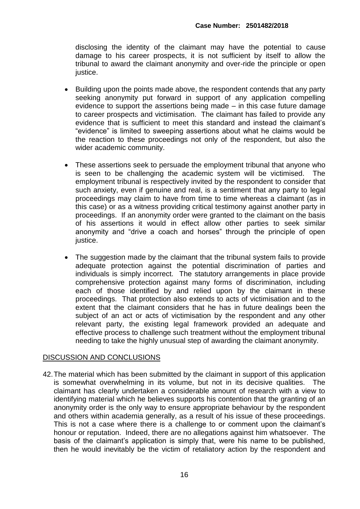disclosing the identity of the claimant may have the potential to cause damage to his career prospects, it is not sufficient by itself to allow the tribunal to award the claimant anonymity and over-ride the principle or open justice.

- Building upon the points made above, the respondent contends that any party seeking anonymity put forward in support of any application compelling evidence to support the assertions being made – in this case future damage to career prospects and victimisation. The claimant has failed to provide any evidence that is sufficient to meet this standard and instead the claimant's "evidence" is limited to sweeping assertions about what he claims would be the reaction to these proceedings not only of the respondent, but also the wider academic community.
- These assertions seek to persuade the employment tribunal that anyone who is seen to be challenging the academic system will be victimised. The employment tribunal is respectively invited by the respondent to consider that such anxiety, even if genuine and real, is a sentiment that any party to legal proceedings may claim to have from time to time whereas a claimant (as in this case) or as a witness providing critical testimony against another party in proceedings. If an anonymity order were granted to the claimant on the basis of his assertions it would in effect allow other parties to seek similar anonymity and "drive a coach and horses" through the principle of open justice.
- The suggestion made by the claimant that the tribunal system fails to provide adequate protection against the potential discrimination of parties and individuals is simply incorrect. The statutory arrangements in place provide comprehensive protection against many forms of discrimination, including each of those identified by and relied upon by the claimant in these proceedings. That protection also extends to acts of victimisation and to the extent that the claimant considers that he has in future dealings been the subject of an act or acts of victimisation by the respondent and any other relevant party, the existing legal framework provided an adequate and effective process to challenge such treatment without the employment tribunal needing to take the highly unusual step of awarding the claimant anonymity.

## DISCUSSION AND CONCLUSIONS

42.The material which has been submitted by the claimant in support of this application is somewhat overwhelming in its volume, but not in its decisive qualities. The claimant has clearly undertaken a considerable amount of research with a view to identifying material which he believes supports his contention that the granting of an anonymity order is the only way to ensure appropriate behaviour by the respondent and others within academia generally, as a result of his issue of these proceedings. This is not a case where there is a challenge to or comment upon the claimant's honour or reputation. Indeed, there are no allegations against him whatsoever. The basis of the claimant's application is simply that, were his name to be published, then he would inevitably be the victim of retaliatory action by the respondent and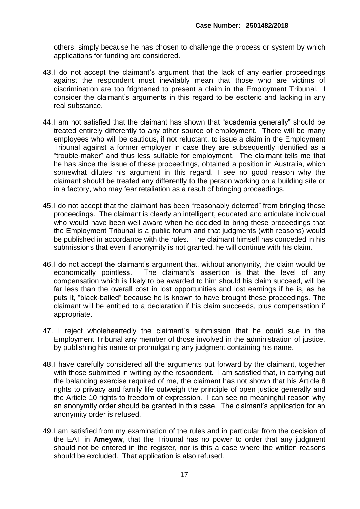others, simply because he has chosen to challenge the process or system by which applications for funding are considered.

- 43.I do not accept the claimant's argument that the lack of any earlier proceedings against the respondent must inevitably mean that those who are victims of discrimination are too frightened to present a claim in the Employment Tribunal. I consider the claimant's arguments in this regard to be esoteric and lacking in any real substance.
- 44.I am not satisfied that the claimant has shown that "academia generally" should be treated entirely differently to any other source of employment. There will be many employees who will be cautious, if not reluctant, to issue a claim in the Employment Tribunal against a former employer in case they are subsequently identified as a "trouble-maker" and thus less suitable for employment. The claimant tells me that he has since the issue of these proceedings, obtained a position in Australia, which somewhat dilutes his argument in this regard. I see no good reason why the claimant should be treated any differently to the person working on a building site or in a factory, who may fear retaliation as a result of bringing proceedings.
- 45.I do not accept that the claimant has been "reasonably deterred" from bringing these proceedings. The claimant is clearly an intelligent, educated and articulate individual who would have been well aware when he decided to bring these proceedings that the Employment Tribunal is a public forum and that judgments (with reasons) would be published in accordance with the rules. The claimant himself has conceded in his submissions that even if anonymity is not granted, he will continue with his claim.
- 46.I do not accept the claimant's argument that, without anonymity, the claim would be economically pointless. The claimant's assertion is that the level of any compensation which is likely to be awarded to him should his claim succeed, will be far less than the overall cost in lost opportunities and lost earnings if he is, as he puts it, "black-balled" because he is known to have brought these proceedings. The claimant will be entitled to a declaration if his claim succeeds, plus compensation if appropriate.
- 47. I reject wholeheartedly the claimant`s submission that he could sue in the Employment Tribunal any member of those involved in the administration of justice, by publishing his name or promulgating any judgment containing his name.
- 48.I have carefully considered all the arguments put forward by the claimant, together with those submitted in writing by the respondent. I am satisfied that, in carrying out the balancing exercise required of me, the claimant has not shown that his Article 8 rights to privacy and family life outweigh the principle of open justice generally and the Article 10 rights to freedom of expression. I can see no meaningful reason why an anonymity order should be granted in this case. The claimant's application for an anonymity order is refused.
- 49.I am satisfied from my examination of the rules and in particular from the decision of the EAT in **Ameyaw**, that the Tribunal has no power to order that any judgment should not be entered in the register, nor is this a case where the written reasons should be excluded. That application is also refused.